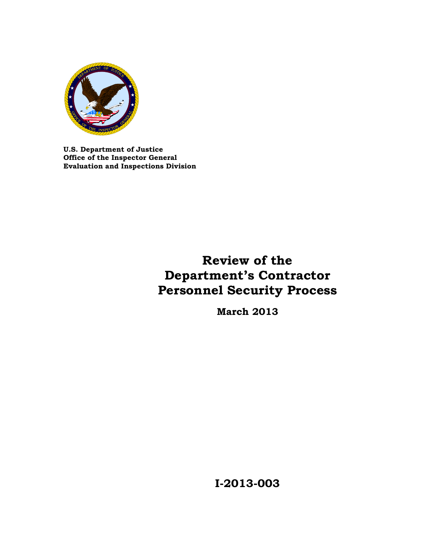

 **Evaluation and Inspections Division U.S. Department of Justice Office of the Inspector General** 

# **Review of the Department's Contractor Personnel Security Process**

**March 2013** 

**I-2013-003**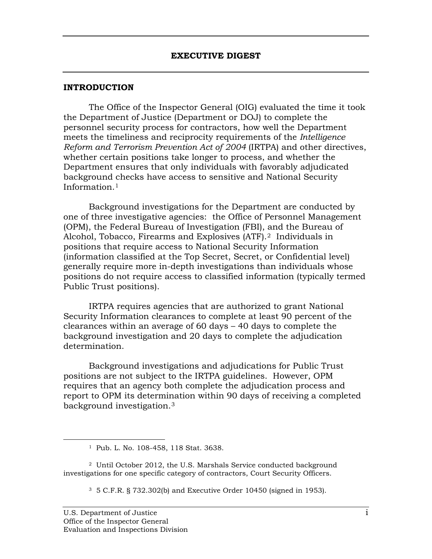#### **INTRODUCTION**

The Office of the Inspector General (OIG) evaluated the time it took the Department of Justice (Department or DOJ) to complete the personnel security process for contractors, how well the Department meets the timeliness and reciprocity requirements of the *Intelligence Reform and Terrorism Prevention Act of 2004* (IRTPA) and other directives, whether certain positions take longer to process, and whether the Department ensures that only individuals with favorably adjudicated background checks have access to sensitive and National Security Information.[1](#page-1-0)

Alcohol, Tobacco, Firearms and Explosives (ATF).<sup>2</sup> Individuals in Background investigations for the Department are conducted by one of three investigative agencies: the Office of Personnel Management (OPM), the Federal Bureau of Investigation (FBI), and the Bureau of positions that require access to National Security Information (information classified at the Top Secret, Secret, or Confidential level) generally require more in-depth investigations than individuals whose positions do not require access to classified information (typically termed Public Trust positions).

IRTPA requires agencies that are authorized to grant National Security Information clearances to complete at least 90 percent of the clearances within an average of 60 days – 40 days to complete the background investigation and 20 days to complete the adjudication determination.

 background investigation.[3](#page-1-2)  Background investigations and adjudications for Public Trust positions are not subject to the IRTPA guidelines. However, OPM requires that an agency both complete the adjudication process and report to OPM its determination within 90 days of receiving a completed

<span id="page-1-0"></span>-

 1 Pub. L. No. 108-458, 118 Stat. 3638.

<span id="page-1-2"></span><span id="page-1-1"></span><sup>&</sup>lt;sup>2</sup> Until October 2012, the U.S. Marshals Service conducted background investigations for one specific category of contractors, Court Security Officers.

 3 5 C.F.R. § 732.302(b) and Executive Order 10450 (signed in 1953).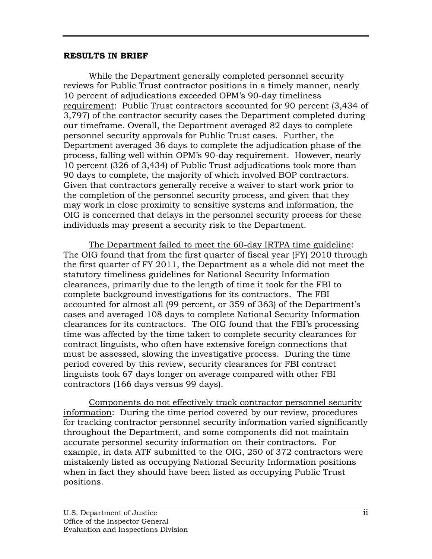#### **RESULTS IN BRIEF**

While the Department generally completed personnel security reviews for Public Trust contractor positions in a timely manner, nearly 10 percent of adjudications exceeded OPM's 90-day timeliness requirement: Public Trust contractors accounted for 90 percent (3,434 of 3,797) of the contractor security cases the Department completed during our timeframe. Overall, the Department averaged 82 days to complete personnel security approvals for Public Trust cases. Further, the Department averaged 36 days to complete the adjudication phase of the process, falling well within OPM's 90-day requirement. However, nearly 10 percent (326 of 3,434) of Public Trust adjudications took more than 90 days to complete, the majority of which involved BOP contractors. Given that contractors generally receive a waiver to start work prior to the completion of the personnel security process, and given that they may work in close proximity to sensitive systems and information, the OIG is concerned that delays in the personnel security process for these individuals may present a security risk to the Department.

The Department failed to meet the 60-day IRTPA time guideline: The OIG found that from the first quarter of fiscal year (FY) 2010 through the first quarter of FY 2011, the Department as a whole did not meet the statutory timeliness guidelines for National Security Information clearances, primarily due to the length of time it took for the FBI to complete background investigations for its contractors. The FBI accounted for almost all (99 percent, or 359 of 363) of the Department's cases and averaged 108 days to complete National Security Information clearances for its contractors. The OIG found that the FBI's processing time was affected by the time taken to complete security clearances for contract linguists, who often have extensive foreign connections that must be assessed, slowing the investigative process. During the time period covered by this review, security clearances for FBI contract linguists took 67 days longer on average compared with other FBI contractors (166 days versus 99 days).

Components do not effectively track contractor personnel security information: During the time period covered by our review, procedures for tracking contractor personnel security information varied significantly throughout the Department, and some components did not maintain accurate personnel security information on their contractors. For example, in data ATF submitted to the OIG, 250 of 372 contractors were mistakenly listed as occupying National Security Information positions when in fact they should have been listed as occupying Public Trust positions.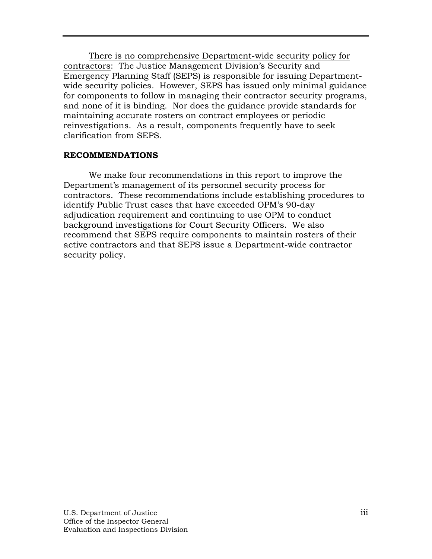There is no comprehensive Department-wide security policy for contractors: The Justice Management Division's Security and Emergency Planning Staff (SEPS) is responsible for issuing Departmentwide security policies. However, SEPS has issued only minimal guidance for components to follow in managing their contractor security programs, and none of it is binding. Nor does the guidance provide standards for maintaining accurate rosters on contract employees or periodic reinvestigations. As a result, components frequently have to seek clarification from SEPS.

### **RECOMMENDATIONS**

We make four recommendations in this report to improve the Department's management of its personnel security process for contractors. These recommendations include establishing procedures to identify Public Trust cases that have exceeded OPM's 90-day adjudication requirement and continuing to use OPM to conduct background investigations for Court Security Officers. We also recommend that SEPS require components to maintain rosters of their active contractors and that SEPS issue a Department-wide contractor security policy.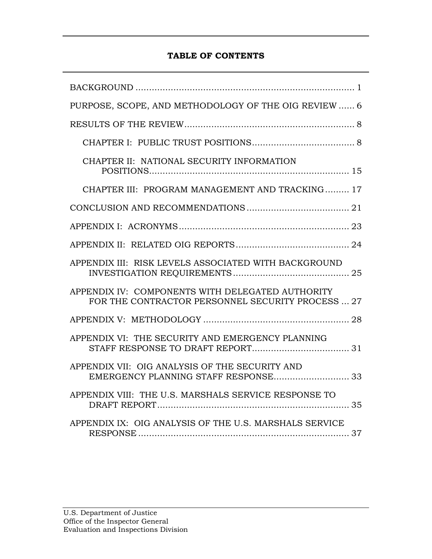### **TABLE OF CONTENTS**

| PURPOSE, SCOPE, AND METHODOLOGY OF THE OIG REVIEW  6                                                  |
|-------------------------------------------------------------------------------------------------------|
|                                                                                                       |
|                                                                                                       |
| CHAPTER II: NATIONAL SECURITY INFORMATION                                                             |
| CHAPTER III: PROGRAM MANAGEMENT AND TRACKING 17                                                       |
|                                                                                                       |
|                                                                                                       |
|                                                                                                       |
| APPENDIX III: RISK LEVELS ASSOCIATED WITH BACKGROUND                                                  |
| APPENDIX IV: COMPONENTS WITH DELEGATED AUTHORITY<br>FOR THE CONTRACTOR PERSONNEL SECURITY PROCESS  27 |
|                                                                                                       |
| APPENDIX VI: THE SECURITY AND EMERGENCY PLANNING                                                      |
| APPENDIX VII: OIG ANALYSIS OF THE SECURITY AND                                                        |
| APPENDIX VIII: THE U.S. MARSHALS SERVICE RESPONSE TO                                                  |
| APPENDIX IX: OIG ANALYSIS OF THE U.S. MARSHALS SERVICE                                                |
|                                                                                                       |
|                                                                                                       |
|                                                                                                       |
| U.S. Department of Justice                                                                            |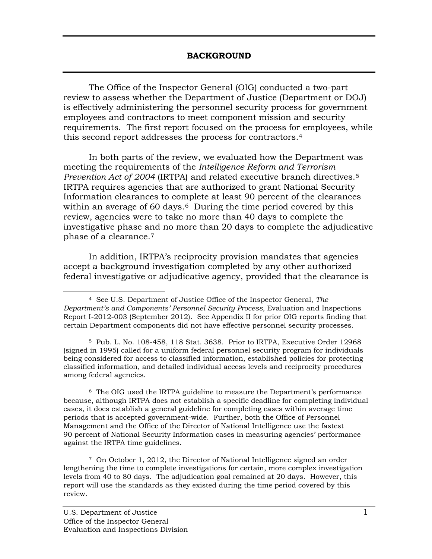The Office of the Inspector General (OIG) conducted a two-part review to assess whether the Department of Justice (Department or DOJ) is effectively administering the personnel security process for government employees and contractors to meet component mission and security requirements. The first report focused on the process for employees, while this second report addresses the process for contractors.[4](#page-5-0) 

 *Prevention Act of 2004* (IRTPA) and related executive branch directives.[5](#page-5-1) In both parts of the review, we evaluated how the Department was meeting the requirements of the *Intelligence Reform and Terrorism*  IRTPA requires agencies that are authorized to grant National Security Information clearances to complete at least 90 percent of the clearances within an average of [6](#page-5-2)0 days.<sup>6</sup> During the time period covered by this review, agencies were to take no more than 40 days to complete the investigative phase and no more than 20 days to complete the adjudicative phase of a clearance.[7](#page-5-3) 

In addition, IRTPA's reciprocity provision mandates that agencies accept a background investigation completed by any other authorized federal investigative or adjudicative agency, provided that the clearance is

<span id="page-5-2"></span> $^6$  The OIG used the IRTPA guideline to measure the Department's performance because, although IRTPA does not establish a specific deadline for completing individual periods that is accepted government-wide. Further, both the Office of Personnel Management and the Office of the Director of National Intelligence use the fastest 90 percent of National Security Information cases in measuring agencies' performance against the IRTPA time guidelines. cases, it does establish a general guideline for completing cases within average time

<span id="page-5-3"></span> 7 On October 1, 2012, the Director of National Intelligence signed an order lengthening the time to complete investigations for certain, more complex investigation levels from 40 to 80 days. The adjudication goal remained at 20 days. However, this report will use the standards as they existed during the time period covered by this review.

<span id="page-5-0"></span><sup>-</sup> 4 See U.S. Department of Justice Office of the Inspector General, *The Department's and Components' Personnel Security Process,* Evaluation and Inspections Report I-2012-003 (September 2012). See Appendix II for prior OIG reports finding that certain Department components did not have effective personnel security processes.

<span id="page-5-1"></span> 5 Pub. L. No. 108-458, 118 Stat. 3638. Prior to IRTPA, Executive Order 12968 (signed in 1995) called for a uniform federal personnel security program for individuals being considered for access to classified information, established policies for protecting classified information, and detailed individual access levels and reciprocity procedures among federal agencies.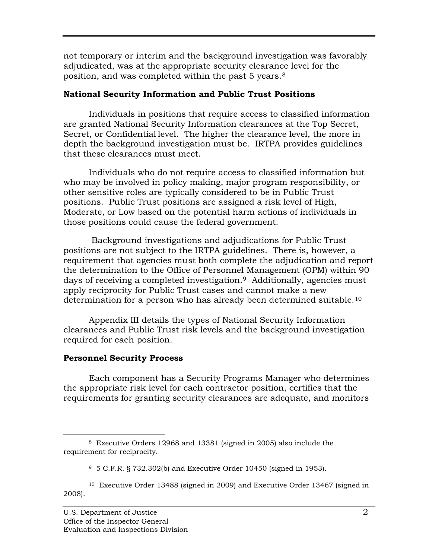position, and was completed within the past 5 years. $^8$ not temporary or interim and the background investigation was favorably adjudicated, was at the appropriate security clearance level for the

### **National Security Information and Public Trust Positions**

Individuals in positions that require access to classified information are granted National Security Information clearances at the Top Secret, Secret, or Confidential level. The higher the clearance level, the more in depth the background investigation must be. IRTPA provides guidelines that these clearances must meet.

Individuals who do not require access to classified information but who may be involved in policy making, major program responsibility, or other sensitive roles are typically considered to be in Public Trust positions. Public Trust positions are assigned a risk level of High, Moderate, or Low based on the potential harm actions of individuals in those positions could cause the federal government.

determination for a person who has already been determined suitable. $^\mathrm{10}$  Background investigations and adjudications for Public Trust positions are not subject to the IRTPA guidelines. There is, however, a requirement that agencies must both complete the adjudication and report the determination to the Office of Personnel Management (OPM) within 90 days of receiving a completed investigation.[9](#page-6-1) Additionally, agencies must apply reciprocity for Public Trust cases and cannot make a new

Appendix III details the types of National Security Information clearances and Public Trust risk levels and the background investigation required for each position.

### **Personnel Security Process**

Each component has a Security Programs Manager who determines the appropriate risk level for each contractor position, certifies that the requirements for granting security clearances are adequate, and monitors

<span id="page-6-0"></span><sup>-</sup> 8 Executive Orders 12968 and 13381 (signed in 2005) also include the requirement for reciprocity.

 $9\,$  5 C.F.R. § 732.302(b) and Executive Order 10450 (signed in 1953).

<span id="page-6-2"></span><span id="page-6-1"></span> 10 Executive Order 13488 (signed in 2009) and Executive Order 13467 (signed in 2008).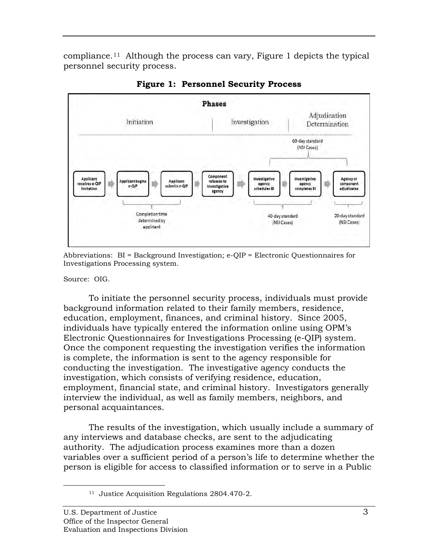compliance.<sup>[11](#page-7-0)</sup> Although the process can vary, Figure 1 depicts the typical personnel security process.



**Figure 1: Personnel Security Process** 

 Abbreviations: BI = Background Investigation; e-QIP = Electronic Questionnaires for Investigations Processing system.

Source: OIG.

<span id="page-7-0"></span> $\overline{a}$ 

To initiate the personnel security process, individuals must provide background information related to their family members, residence, education, employment, finances, and criminal history. Since 2005, individuals have typically entered the information online using OPM's Electronic Questionnaires for Investigations Processing (e-QIP) system. Once the component requesting the investigation verifies the information is complete, the information is sent to the agency responsible for conducting the investigation. The investigative agency conducts the investigation, which consists of verifying residence, education, employment, financial state, and criminal history. Investigators generally interview the individual, as well as family members, neighbors, and personal acquaintances.

The results of the investigation, which usually include a summary of any interviews and database checks, are sent to the adjudicating authority. The adjudication process examines more than a dozen variables over a sufficient period of a person's life to determine whether the person is eligible for access to classified information or to serve in a Public

 11 Justice Acquisition Regulations 2804.470-2.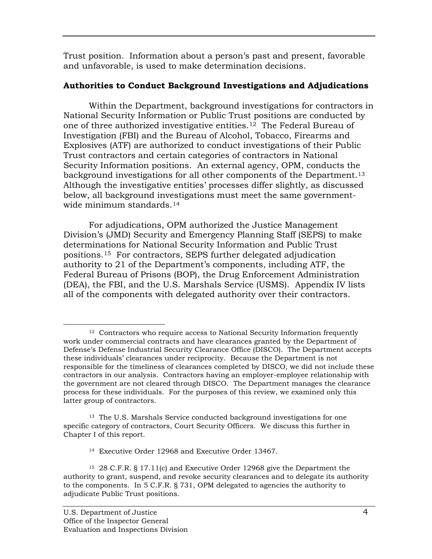Trust position. Information about a person's past and present, favorable and unfavorable, is used to make determination decisions.

### **Authorities to Conduct Background Investigations and Adjudications**

background investigations for all other components of the Department.<sup>[13](#page-8-1)</sup> wide minimum standards.[14](#page-8-2)  Within the Department, background investigations for contractors in National Security Information or Public Trust positions are conducted by one of three authorized investigative entities.[12](#page-8-0) The Federal Bureau of Investigation (FBI) and the Bureau of Alcohol, Tobacco, Firearms and Explosives (ATF) are authorized to conduct investigations of their Public Trust contractors and certain categories of contractors in National Security Information positions. An external agency, OPM, conducts the Although the investigative entities' processes differ slightly, as discussed below, all background investigations must meet the same government-

For adjudications, OPM authorized the Justice Management Division's (JMD) Security and Emergency Planning Staff (SEPS) to make determinations for National Security Information and Public Trust positions.[15](#page-8-3) For contractors, SEPS further delegated adjudication authority to 21 of the Department's components, including ATF, the Federal Bureau of Prisons (BOP), the Drug Enforcement Administration (DEA), the FBI, and the U.S. Marshals Service (USMS). Appendix IV lists all of the components with delegated authority over their contractors.

14 Executive Order 12968 and Executive Order 13467.

<span id="page-8-0"></span> $\overline{a}$  $12$  Contractors who require access to National Security Information frequently work under commercial contracts and have clearances granted by the Department of Defense's Defense Industrial Security Clearance Office (DISCO). The Department accepts these individuals' clearances under reciprocity. Because the Department is not responsible for the timeliness of clearances completed by DISCO, we did not include these contractors in our analysis. Contractors having an employer-employee relationship with the government are not cleared through DISCO. The Department manages the clearance process for these individuals. For the purposes of this review, we examined only this latter group of contractors.

<span id="page-8-1"></span> 13 The U.S. Marshals Service conducted background investigations for one specific category of contractors, Court Security Officers. We discuss this further in Chapter I of this report.

<span id="page-8-3"></span><span id="page-8-2"></span> 15 28 C.F.R. § 17.11(c) and Executive Order 12968 give the Department the authority to grant, suspend, and revoke security clearances and to delegate its authority to the components. In 5 C.F.R. § 731, OPM delegated to agencies the authority to adjudicate Public Trust positions.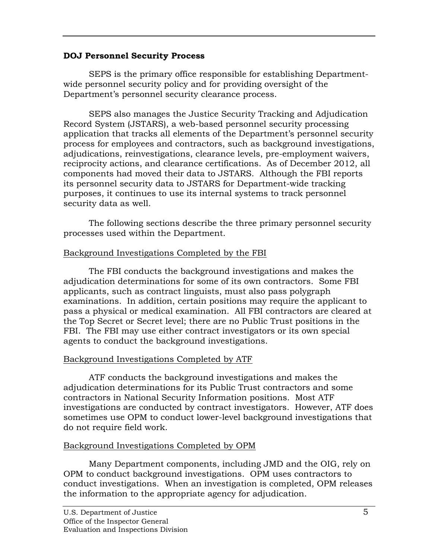### **DOJ Personnel Security Process**

SEPS is the primary office responsible for establishing Departmentwide personnel security policy and for providing oversight of the Department's personnel security clearance process.

SEPS also manages the Justice Security Tracking and Adjudication Record System (JSTARS), a web-based personnel security processing application that tracks all elements of the Department's personnel security process for employees and contractors, such as background investigations, adjudications, reinvestigations, clearance levels, pre-employment waivers, reciprocity actions, and clearance certifications. As of December 2012, all components had moved their data to JSTARS. Although the FBI reports its personnel security data to JSTARS for Department-wide tracking purposes, it continues to use its internal systems to track personnel security data as well.

The following sections describe the three primary personnel security processes used within the Department.

### Background Investigations Completed by the FBI

The FBI conducts the background investigations and makes the adjudication determinations for some of its own contractors. Some FBI applicants, such as contract linguists, must also pass polygraph examinations. In addition, certain positions may require the applicant to pass a physical or medical examination. All FBI contractors are cleared at the Top Secret or Secret level; there are no Public Trust positions in the FBI. The FBI may use either contract investigators or its own special agents to conduct the background investigations.

### Background Investigations Completed by ATF

ATF conducts the background investigations and makes the adjudication determinations for its Public Trust contractors and some contractors in National Security Information positions. Most ATF investigations are conducted by contract investigators. However, ATF does sometimes use OPM to conduct lower-level background investigations that do not require field work.

### Background Investigations Completed by OPM

Many Department components, including JMD and the OIG, rely on OPM to conduct background investigations. OPM uses contractors to conduct investigations. When an investigation is completed, OPM releases the information to the appropriate agency for adjudication.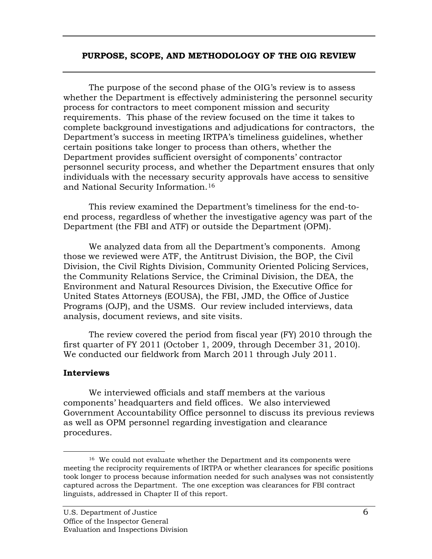#### **PURPOSE, SCOPE, AND METHODOLOGY OF THE OIG REVIEW**

 and National Security Information.[16](#page-10-0)  The purpose of the second phase of the OIG's review is to assess whether the Department is effectively administering the personnel security process for contractors to meet component mission and security requirements. This phase of the review focused on the time it takes to complete background investigations and adjudications for contractors, the Department's success in meeting IRTPA's timeliness guidelines, whether certain positions take longer to process than others, whether the Department provides sufficient oversight of components' contractor personnel security process, and whether the Department ensures that only individuals with the necessary security approvals have access to sensitive

This review examined the Department's timeliness for the end-toend process, regardless of whether the investigative agency was part of the Department (the FBI and ATF) or outside the Department (OPM).

We analyzed data from all the Department's components. Among those we reviewed were ATF, the Antitrust Division, the BOP, the Civil Division, the Civil Rights Division, Community Oriented Policing Services, the Community Relations Service, the Criminal Division, the DEA, the Environment and Natural Resources Division, the Executive Office for United States Attorneys (EOUSA), the FBI, JMD, the Office of Justice Programs (OJP), and the USMS. Our review included interviews, data analysis, document reviews, and site visits.

The review covered the period from fiscal year (FY) 2010 through the first quarter of FY 2011 (October 1, 2009, through December 31, 2010). We conducted our fieldwork from March 2011 through July 2011.

### **Interviews**

We interviewed officials and staff members at the various components' headquarters and field offices. We also interviewed Government Accountability Office personnel to discuss its previous reviews as well as OPM personnel regarding investigation and clearance procedures.

<span id="page-10-0"></span> $\overline{a}$ <sup>16</sup> We could not evaluate whether the Department and its components were meeting the reciprocity requirements of IRTPA or whether clearances for specific positions took longer to process because information needed for such analyses was not consistently captured across the Department. The one exception was clearances for FBI contract linguists, addressed in Chapter II of this report.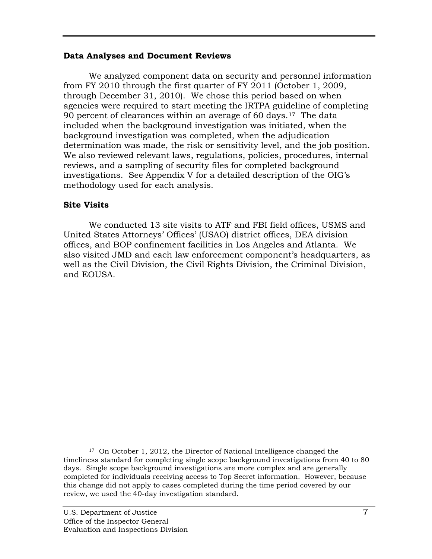#### **Data Analyses and Document Reviews**

We analyzed component data on security and personnel information from FY 2010 through the first quarter of FY 2011 (October 1, 2009, through December 31, 2010). We chose this period based on when agencies were required to start meeting the IRTPA guideline of completing 90 percent of clearances within an average of 60 days.<sup>[17](#page-11-0)</sup> The data included when the background investigation was initiated, when the background investigation was completed, when the adjudication determination was made, the risk or sensitivity level, and the job position. We also reviewed relevant laws, regulations, policies, procedures, internal reviews, and a sampling of security files for completed background investigations. See Appendix V for a detailed description of the OIG's methodology used for each analysis.

### **Site Visits**

We conducted 13 site visits to ATF and FBI field offices, USMS and United States Attorneys' Offices' (USAO) district offices, DEA division offices, and BOP confinement facilities in Los Angeles and Atlanta. We also visited JMD and each law enforcement component's headquarters, as well as the Civil Division, the Civil Rights Division, the Criminal Division, and EOUSA.

<span id="page-11-0"></span> $\overline{a}$  17 On October 1, 2012, the Director of National Intelligence changed the timeliness standard for completing single scope background investigations from 40 to 80 days. Single scope background investigations are more complex and are generally completed for individuals receiving access to Top Secret information. However, because this change did not apply to cases completed during the time period covered by our review, we used the 40-day investigation standard.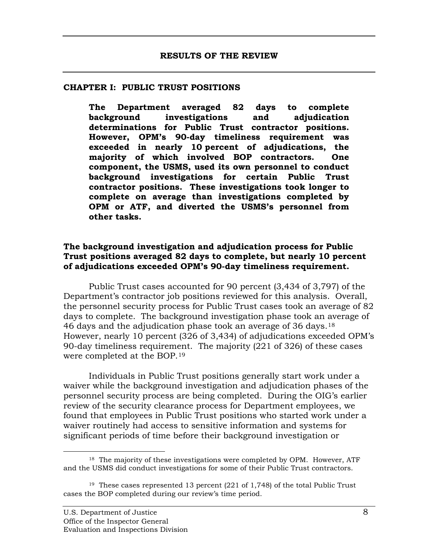#### **CHAPTER I: PUBLIC TRUST POSITIONS**

**The Department averaged 82 days to complete background investigations and adjudication determinations for Public Trust contractor positions. However, OPM's 90-day timeliness requirement was exceeded in nearly 10 percent of adjudications, the majority of which involved BOP contractors. One component, the USMS, used its own personnel to conduct background investigations for certain Public Trust contractor positions. These investigations took longer to complete on average than investigations completed by OPM or ATF, and diverted the USMS's personnel from other tasks.** 

#### **The background investigation and adjudication process for Public Trust positions averaged 82 days to complete, but nearly 10 percent of adjudications exceeded OPM's 90-day timeliness requirement.**

46 days and the adjudication phase took an average of 36 days.  $^{18}$ Public Trust cases accounted for 90 percent (3,434 of 3,797) of the Department's contractor job positions reviewed for this analysis. Overall, the personnel security process for Public Trust cases took an average of 82 days to complete. The background investigation phase took an average of However, nearly 10 percent (326 of 3,434) of adjudications exceeded OPM's 90-day timeliness requirement. The majority (221 of 326) of these cases were completed at the BOP.[19](#page-12-1) 

Individuals in Public Trust positions generally start work under a waiver while the background investigation and adjudication phases of the personnel security process are being completed. During the OIG's earlier review of the security clearance process for Department employees, we found that employees in Public Trust positions who started work under a waiver routinely had access to sensitive information and systems for significant periods of time before their background investigation or

 $\overline{a}$ 

<span id="page-12-0"></span> $18$  The majority of these investigations were completed by OPM. However, ATF and the USMS did conduct investigations for some of their Public Trust contractors.

<span id="page-12-1"></span><sup>&</sup>lt;sup>19</sup> These cases represented 13 percent  $(221 \text{ of } 1,748)$  of the total Public Trust cases the BOP completed during our review's time period.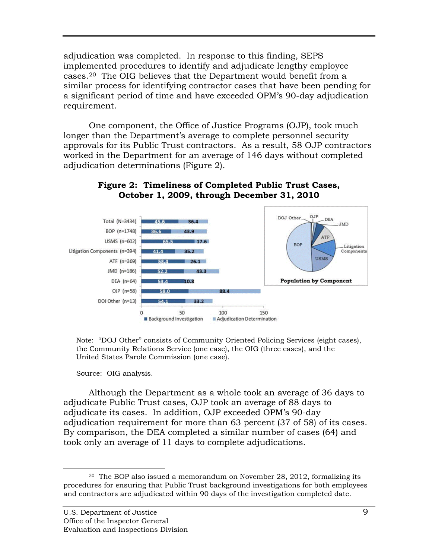adjudication was completed. In response to this finding, SEPS implemented procedures to identify and adjudicate lengthy employee cases.[20](#page-13-0) The OIG believes that the Department would benefit from a similar process for identifying contractor cases that have been pending for a significant period of time and have exceeded OPM's 90-day adjudication requirement.

One component, the Office of Justice Programs (OJP), took much longer than the Department's average to complete personnel security approvals for its Public Trust contractors. As a result, 58 OJP contractors worked in the Department for an average of 146 days without completed adjudication determinations (Figure 2).



#### **Figure 2: Timeliness of Completed Public Trust Cases, October 1, 2009, through December 31, 2010**

 Note: "DOJ Other" consists of Community Oriented Policing Services (eight cases), the Community Relations Service (one case), the OIG (three cases), and the United States Parole Commission (one case).

Source: OIG analysis.

Although the Department as a whole took an average of 36 days to adjudicate Public Trust cases, OJP took an average of 88 days to adjudicate its cases. In addition, OJP exceeded OPM's 90-day adjudication requirement for more than 63 percent (37 of 58) of its cases. By comparison, the DEA completed a similar number of cases (64) and took only an average of 11 days to complete adjudications.

<span id="page-13-0"></span> $\overline{a}$  $^{20}$  The BOP also issued a memorandum on November 28, 2012, formalizing its procedures for ensuring that Public Trust background investigations for both employees and contractors are adjudicated within 90 days of the investigation completed date.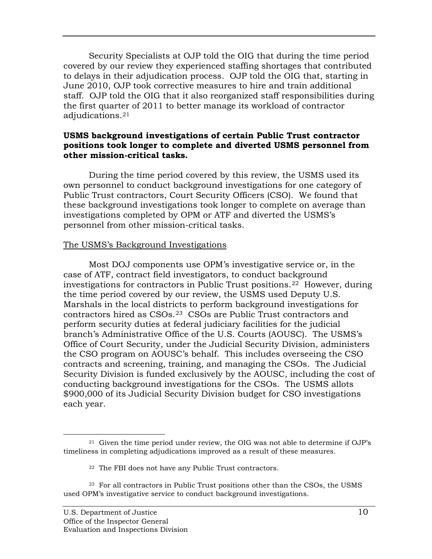adjudications.[21](#page-14-0)  Security Specialists at OJP told the OIG that during the time period covered by our review they experienced staffing shortages that contributed to delays in their adjudication process. OJP told the OIG that, starting in June 2010, OJP took corrective measures to hire and train additional staff. OJP told the OIG that it also reorganized staff responsibilities during the first quarter of 2011 to better manage its workload of contractor

### **USMS background investigations of certain Public Trust contractor positions took longer to complete and diverted USMS personnel from other mission-critical tasks.**

During the time period covered by this review, the USMS used its own personnel to conduct background investigations for one category of Public Trust contractors, Court Security Officers (CSO). We found that these background investigations took longer to complete on average than investigations completed by OPM or ATF and diverted the USMS's personnel from other mission-critical tasks.

### The USMS's Background Investigations

Most DOJ components use OPM's investigative service or, in the case of ATF, contract field investigators, to conduct background investigations for contractors in Public Trust positions.[22](#page-14-1) However, during the time period covered by our review, the USMS used Deputy U.S. Marshals in the local districts to perform background investigations for contractors hired as CSOs.[23](#page-14-2) CSOs are Public Trust contractors and perform security duties at federal judiciary facilities for the judicial branch's Administrative Office of the U.S. Courts (AOUSC). The USMS's Office of Court Security, under the Judicial Security Division, administers the CSO program on AOUSC's behalf. This includes overseeing the CSO contracts and screening, training, and managing the CSOs. The Judicial Security Division is funded exclusively by the AOUSC, including the cost of conducting background investigations for the CSOs. The USMS allots \$900,000 of its Judicial Security Division budget for CSO investigations each year.

<span id="page-14-0"></span> $\overline{a}$  $21$  Given the time period under review, the OIG was not able to determine if OJP's timeliness in completing adjudications improved as a result of these measures.

 22 The FBI does not have any Public Trust contractors.

<span id="page-14-2"></span><span id="page-14-1"></span> $^{23}$  For all contractors in Public Trust positions other than the CSOs, the USMS used OPM's investigative service to conduct background investigations.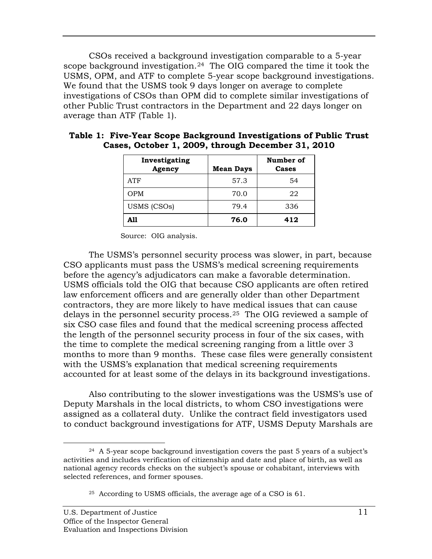CSOs received a background investigation comparable to a 5-year scope background investigation.<sup>24</sup> The OIG compared the time it took the USMS, OPM, and ATF to complete 5-year scope background investigations. We found that the USMS took 9 days longer on average to complete investigations of CSOs than OPM did to complete similar investigations of other Public Trust contractors in the Department and 22 days longer on average than ATF (Table 1).

| Investigating<br>Agency | <b>Mean Days</b> | Number of<br>Cases |
|-------------------------|------------------|--------------------|
| <b>ATF</b>              | 57.3             | 54                 |
| <b>OPM</b>              | 70.0             | 22                 |
| USMS (CSOs)             | 79.4             | 336                |
| A11                     | 76.0             | 412                |

| Table 1: Five-Year Scope Background Investigations of Public Trust |  |  |
|--------------------------------------------------------------------|--|--|
| Cases, October 1, 2009, through December 31, 2010                  |  |  |

Source: OIG analysis.

The USMS's personnel security process was slower, in part, because CSO applicants must pass the USMS's medical screening requirements before the agency's adjudicators can make a favorable determination. USMS officials told the OIG that because CSO applicants are often retired law enforcement officers and are generally older than other Department contractors, they are more likely to have medical issues that can cause delays in the personnel security process.[25](#page-15-1) The OIG reviewed a sample of six CSO case files and found that the medical screening process affected the length of the personnel security process in four of the six cases, with the time to complete the medical screening ranging from a little over 3 months to more than 9 months. These case files were generally consistent with the USMS's explanation that medical screening requirements accounted for at least some of the delays in its background investigations.

Also contributing to the slower investigations was the USMS's use of Deputy Marshals in the local districts, to whom CSO investigations were assigned as a collateral duty. Unlike the contract field investigators used to conduct background investigations for ATF, USMS Deputy Marshals are

 $\overline{a}$ 

<span id="page-15-1"></span><span id="page-15-0"></span> $24$  A 5-year scope background investigation covers the past 5 years of a subject's activities and includes verification of citizenship and date and place of birth, as well as national agency records checks on the subject's spouse or cohabitant, interviews with selected references, and former spouses.

 25 According to USMS officials, the average age of a CSO is 61.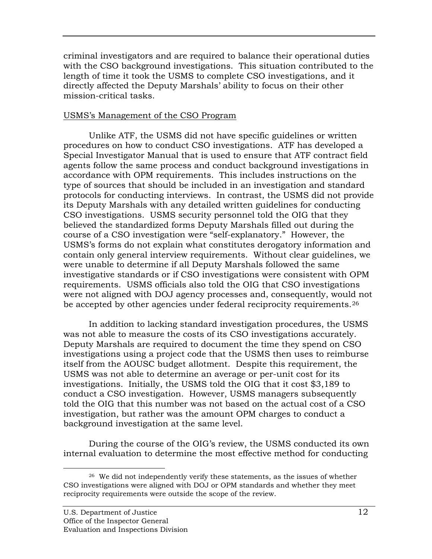criminal investigators and are required to balance their operational duties with the CSO background investigations. This situation contributed to the length of time it took the USMS to complete CSO investigations, and it directly affected the Deputy Marshals' ability to focus on their other mission-critical tasks.

### USMS's Management of the CSO Program

be accepted by other agencies under federal reciprocity requirements. $^{26}$  $^{26}$  $^{26}$ Unlike ATF, the USMS did not have specific guidelines or written procedures on how to conduct CSO investigations. ATF has developed a Special Investigator Manual that is used to ensure that ATF contract field agents follow the same process and conduct background investigations in accordance with OPM requirements. This includes instructions on the type of sources that should be included in an investigation and standard protocols for conducting interviews. In contrast, the USMS did not provide its Deputy Marshals with any detailed written guidelines for conducting CSO investigations. USMS security personnel told the OIG that they believed the standardized forms Deputy Marshals filled out during the course of a CSO investigation were "self-explanatory." However, the USMS's forms do not explain what constitutes derogatory information and contain only general interview requirements. Without clear guidelines, we were unable to determine if all Deputy Marshals followed the same investigative standards or if CSO investigations were consistent with OPM requirements. USMS officials also told the OIG that CSO investigations were not aligned with DOJ agency processes and, consequently, would not

In addition to lacking standard investigation procedures, the USMS was not able to measure the costs of its CSO investigations accurately. Deputy Marshals are required to document the time they spend on CSO investigations using a project code that the USMS then uses to reimburse itself from the AOUSC budget allotment. Despite this requirement, the USMS was not able to determine an average or per-unit cost for its investigations. Initially, the USMS told the OIG that it cost \$3,189 to conduct a CSO investigation. However, USMS managers subsequently told the OIG that this number was not based on the actual cost of a CSO investigation, but rather was the amount OPM charges to conduct a background investigation at the same level.

During the course of the OIG's review, the USMS conducted its own internal evaluation to determine the most effective method for conducting

<span id="page-16-0"></span> $\overline{a}$  $26$  We did not independently verify these statements, as the issues of whether CSO investigations were aligned with DOJ or OPM standards and whether they meet reciprocity requirements were outside the scope of the review. U.S. Department of Justice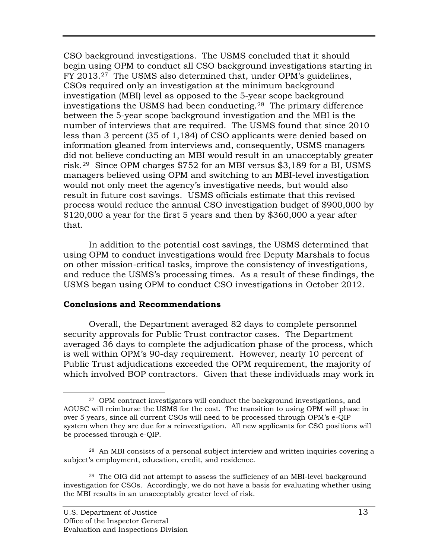CSO background investigations. The USMS concluded that it should begin using OPM to conduct all CSO background investigations starting in FY 2013.[27](#page-17-0) The USMS also determined that, under OPM's guidelines, CSOs required only an investigation at the minimum background investigation (MBI) level as opposed to the 5-year scope background investigations the USMS had been conducting.[28](#page-17-1) The primary difference between the 5-year scope background investigation and the MBI is the number of interviews that are required. The USMS found that since 2010 less than 3 percent (35 of 1,184) of CSO applicants were denied based on information gleaned from interviews and, consequently, USMS managers did not believe conducting an MBI would result in an unacceptably greater risk.[29](#page-17-2) Since OPM charges \$752 for an MBI versus \$3,189 for a BI, USMS managers believed using OPM and switching to an MBI-level investigation would not only meet the agency's investigative needs, but would also result in future cost savings. USMS officials estimate that this revised process would reduce the annual CSO investigation budget of \$900,000 by \$120,000 a year for the first 5 years and then by \$360,000 a year after that.

In addition to the potential cost savings, the USMS determined that using OPM to conduct investigations would free Deputy Marshals to focus on other mission-critical tasks, improve the consistency of investigations, and reduce the USMS's processing times. As a result of these findings, the USMS began using OPM to conduct CSO investigations in October 2012.

#### **Conclusions and Recommendations**

Overall, the Department averaged 82 days to complete personnel security approvals for Public Trust contractor cases. The Department averaged 36 days to complete the adjudication phase of the process, which is well within OPM's 90-day requirement. However, nearly 10 percent of Public Trust adjudications exceeded the OPM requirement, the majority of which involved BOP contractors. Given that these individuals may work in

<span id="page-17-0"></span> $\overline{a}$  $27$  OPM contract investigators will conduct the background investigations, and AOUSC will reimburse the USMS for the cost. The transition to using OPM will phase in over 5 years, since all current CSOs will need to be processed through OPM's e-QIP system when they are due for a reinvestigation. All new applicants for CSO positions will be processed through e-QIP.

<span id="page-17-1"></span> $^{28}$  An MBI consists of a personal subject interview and written inquiries covering a subject's employment, education, credit, and residence.

<span id="page-17-2"></span> $^{29}$  The OIG did not attempt to assess the sufficiency of an MBI-level background investigation for CSOs. Accordingly, we do not have a basis for evaluating whether using the MBI results in an unacceptably greater level of risk.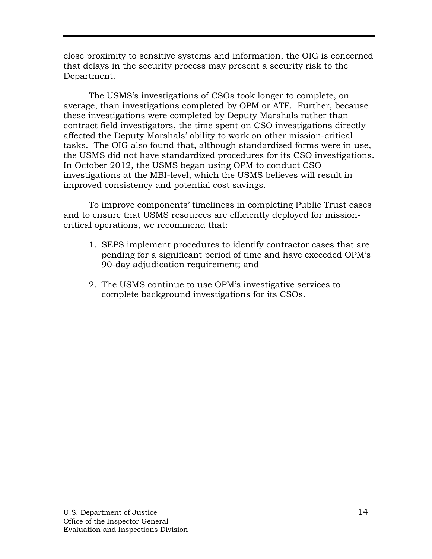close proximity to sensitive systems and information, the OIG is concerned that delays in the security process may present a security risk to the Department.

The USMS's investigations of CSOs took longer to complete, on average, than investigations completed by OPM or ATF. Further, because these investigations were completed by Deputy Marshals rather than contract field investigators, the time spent on CSO investigations directly affected the Deputy Marshals' ability to work on other mission-critical tasks. The OIG also found that, although standardized forms were in use, the USMS did not have standardized procedures for its CSO investigations. In October 2012, the USMS began using OPM to conduct CSO investigations at the MBI-level, which the USMS believes will result in improved consistency and potential cost savings.

To improve components' timeliness in completing Public Trust cases and to ensure that USMS resources are efficiently deployed for missioncritical operations, we recommend that:

- 1. SEPS implement procedures to identify contractor cases that are pending for a significant period of time and have exceeded OPM's 90-day adjudication requirement; and
- 2. The USMS continue to use OPM's investigative services to complete background investigations for its CSOs.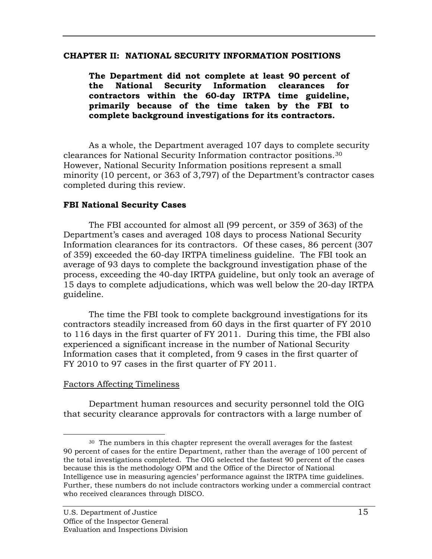#### **CHAPTER II: NATIONAL SECURITY INFORMATION POSITIONS**

**The Department did not complete at least 90 percent of the National Security Information clearances for contractors within the 60-day IRTPA time guideline, primarily because of the time taken by the FBI to complete background investigations for its contractors.** 

 clearances for National Security Information contractor positions.[30](#page-19-0) As a whole, the Department averaged 107 days to complete security However, National Security Information positions represent a small minority (10 percent, or 363 of 3,797) of the Department's contractor cases completed during this review.

### **FBI National Security Cases**

The FBI accounted for almost all (99 percent, or 359 of 363) of the Department's cases and averaged 108 days to process National Security Information clearances for its contractors. Of these cases, 86 percent (307 of 359) exceeded the 60-day IRTPA timeliness guideline. The FBI took an average of 93 days to complete the background investigation phase of the process, exceeding the 40-day IRTPA guideline, but only took an average of 15 days to complete adjudications, which was well below the 20-day IRTPA guideline.

The time the FBI took to complete background investigations for its contractors steadily increased from 60 days in the first quarter of FY 2010 to 116 days in the first quarter of FY 2011. During this time, the FBI also experienced a significant increase in the number of National Security Information cases that it completed, from 9 cases in the first quarter of FY 2010 to 97 cases in the first quarter of FY 2011.

#### Factors Affecting Timeliness

Department human resources and security personnel told the OIG that security clearance approvals for contractors with a large number of

<span id="page-19-0"></span> $\overline{a}$  $30$  The numbers in this chapter represent the overall averages for the fastest 90 percent of cases for the entire Department, rather than the average of 100 percent of the total investigations completed. The OIG selected the fastest 90 percent of the cases because this is the methodology OPM and the Office of the Director of National Intelligence use in measuring agencies' performance against the IRTPA time guidelines. Further, these numbers do not include contractors working under a commercial contract who received clearances through DISCO.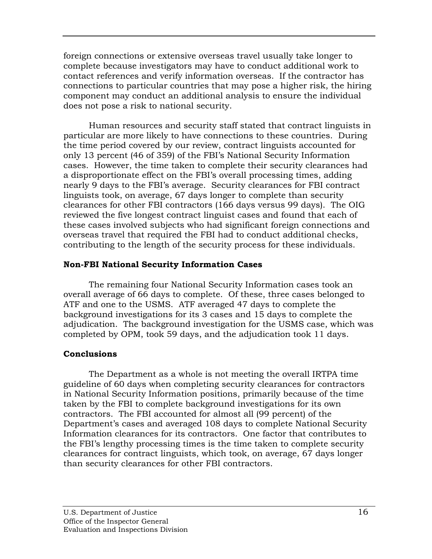foreign connections or extensive overseas travel usually take longer to complete because investigators may have to conduct additional work to contact references and verify information overseas. If the contractor has connections to particular countries that may pose a higher risk, the hiring component may conduct an additional analysis to ensure the individual does not pose a risk to national security.

Human resources and security staff stated that contract linguists in particular are more likely to have connections to these countries. During the time period covered by our review, contract linguists accounted for only 13 percent (46 of 359) of the FBI's National Security Information cases. However, the time taken to complete their security clearances had a disproportionate effect on the FBI's overall processing times, adding nearly 9 days to the FBI's average. Security clearances for FBI contract linguists took, on average, 67 days longer to complete than security clearances for other FBI contractors (166 days versus 99 days). The OIG reviewed the five longest contract linguist cases and found that each of these cases involved subjects who had significant foreign connections and overseas travel that required the FBI had to conduct additional checks, contributing to the length of the security process for these individuals.

### **Non-FBI National Security Information Cases**

The remaining four National Security Information cases took an overall average of 66 days to complete. Of these, three cases belonged to ATF and one to the USMS. ATF averaged 47 days to complete the background investigations for its 3 cases and 15 days to complete the adjudication. The background investigation for the USMS case, which was completed by OPM, took 59 days, and the adjudication took 11 days.

# **Conclusions**

The Department as a whole is not meeting the overall IRTPA time guideline of 60 days when completing security clearances for contractors in National Security Information positions, primarily because of the time taken by the FBI to complete background investigations for its own contractors. The FBI accounted for almost all (99 percent) of the Department's cases and averaged 108 days to complete National Security Information clearances for its contractors. One factor that contributes to the FBI's lengthy processing times is the time taken to complete security clearances for contract linguists, which took, on average, 67 days longer than security clearances for other FBI contractors.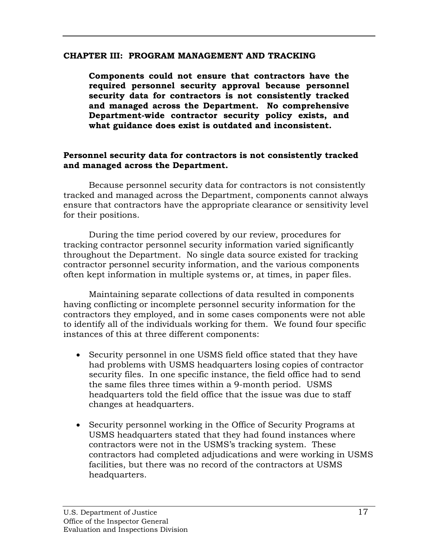### **CHAPTER III: PROGRAM MANAGEMENT AND TRACKING**

**Components could not ensure that contractors have the required personnel security approval because personnel security data for contractors is not consistently tracked and managed across the Department. No comprehensive Department-wide contractor security policy exists, and what guidance does exist is outdated and inconsistent.** 

### **Personnel security data for contractors is not consistently tracked and managed across the Department.**

Because personnel security data for contractors is not consistently tracked and managed across the Department, components cannot always ensure that contractors have the appropriate clearance or sensitivity level for their positions.

During the time period covered by our review, procedures for tracking contractor personnel security information varied significantly throughout the Department. No single data source existed for tracking contractor personnel security information, and the various components often kept information in multiple systems or, at times, in paper files.

Maintaining separate collections of data resulted in components having conflicting or incomplete personnel security information for the contractors they employed, and in some cases components were not able to identify all of the individuals working for them. We found four specific instances of this at three different components:

- •Security personnel in one USMS field office stated that they have had problems with USMS headquarters losing copies of contractor security files. In one specific instance, the field office had to send the same files three times within a 9-month period. USMS headquarters told the field office that the issue was due to staff changes at headquarters.
- •Security personnel working in the Office of Security Programs at USMS headquarters stated that they had found instances where contractors were not in the USMS's tracking system. These contractors had completed adjudications and were working in USMS facilities, but there was no record of the contractors at USMS headquarters.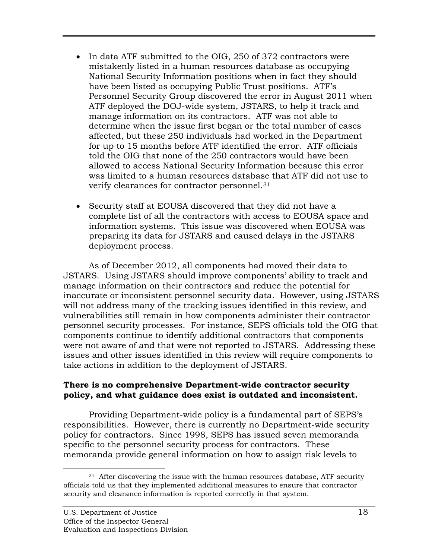- verify clearances for contractor personnel.[31](#page-22-0) • In data ATF submitted to the OIG, 250 of 372 contractors were mistakenly listed in a human resources database as occupying National Security Information positions when in fact they should have been listed as occupying Public Trust positions. ATF's Personnel Security Group discovered the error in August 2011 when ATF deployed the DOJ-wide system, JSTARS, to help it track and manage information on its contractors. ATF was not able to determine when the issue first began or the total number of cases affected, but these 250 individuals had worked in the Department for up to 15 months before ATF identified the error. ATF officials told the OIG that none of the 250 contractors would have been allowed to access National Security Information because this error was limited to a human resources database that ATF did not use to
- •Security staff at EOUSA discovered that they did not have a complete list of all the contractors with access to EOUSA space and information systems. This issue was discovered when EOUSA was preparing its data for JSTARS and caused delays in the JSTARS deployment process.

As of December 2012, all components had moved their data to JSTARS. Using JSTARS should improve components' ability to track and manage information on their contractors and reduce the potential for inaccurate or inconsistent personnel security data. However, using JSTARS will not address many of the tracking issues identified in this review, and vulnerabilities still remain in how components administer their contractor personnel security processes. For instance, SEPS officials told the OIG that components continue to identify additional contractors that components were not aware of and that were not reported to JSTARS. Addressing these issues and other issues identified in this review will require components to take actions in addition to the deployment of JSTARS.

### **There is no comprehensive Department-wide contractor security policy, and what guidance does exist is outdated and inconsistent.**

Providing Department-wide policy is a fundamental part of SEPS's responsibilities. However, there is currently no Department-wide security policy for contractors. Since 1998, SEPS has issued seven memoranda specific to the personnel security process for contractors. These memoranda provide general information on how to assign risk levels to

<span id="page-22-0"></span><sup>-</sup> $31$  After discovering the issue with the human resources database, ATF security officials told us that they implemented additional measures to ensure that contractor security and clearance information is reported correctly in that system.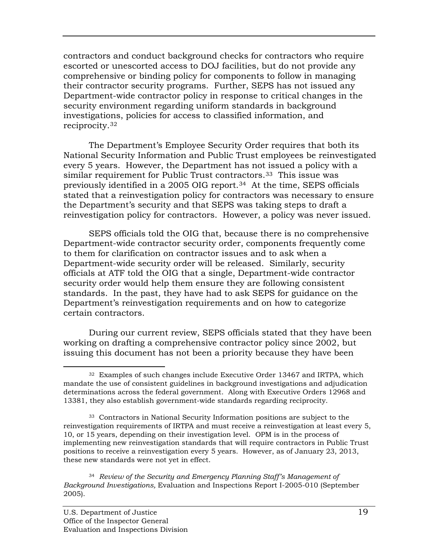reciprocity.[32](#page-23-0) contractors and conduct background checks for contractors who require escorted or unescorted access to DOJ facilities, but do not provide any comprehensive or binding policy for components to follow in managing their contractor security programs. Further, SEPS has not issued any Department-wide contractor policy in response to critical changes in the security environment regarding uniform standards in background investigations, policies for access to classified information, and

The Department's Employee Security Order requires that both its National Security Information and Public Trust employees be reinvestigated every 5 years. However, the Department has not issued a policy with a similar requirement for Public Trust contractors.<sup>33</sup> This issue was previously identified in a 2005 OIG report.[34](#page-23-2) At the time, SEPS officials stated that a reinvestigation policy for contractors was necessary to ensure the Department's security and that SEPS was taking steps to draft a reinvestigation policy for contractors. However, a policy was never issued.

SEPS officials told the OIG that, because there is no comprehensive Department-wide contractor security order, components frequently come to them for clarification on contractor issues and to ask when a Department-wide security order will be released. Similarly, security officials at ATF told the OIG that a single, Department-wide contractor security order would help them ensure they are following consistent standards. In the past, they have had to ask SEPS for guidance on the Department's reinvestigation requirements and on how to categorize certain contractors.

During our current review, SEPS officials stated that they have been working on drafting a comprehensive contractor policy since 2002, but issuing this document has not been a priority because they have been

<span id="page-23-0"></span> $\overline{a}$  $32$  Examples of such changes include Executive Order 13467 and IRTPA, which determinations across the federal government. Along with Executive Orders 12968 and 13381, they also establish government-wide standards regarding reciprocity. mandate the use of consistent guidelines in background investigations and adjudication

<span id="page-23-1"></span> 33 Contractors in National Security Information positions are subject to the reinvestigation requirements of IRTPA and must receive a reinvestigation at least every 5, 10, or 15 years, depending on their investigation level. OPM is in the process of implementing new reinvestigation standards that will require contractors in Public Trust positions to receive a reinvestigation every 5 years. However, as of January 23, 2013, these new standards were not yet in effect.

<span id="page-23-2"></span> <sup>34</sup>*Review of the Security and Emergency Planning Staff's Management of Background Investigations,* Evaluation and Inspections Report I-2005-010 (September 2005).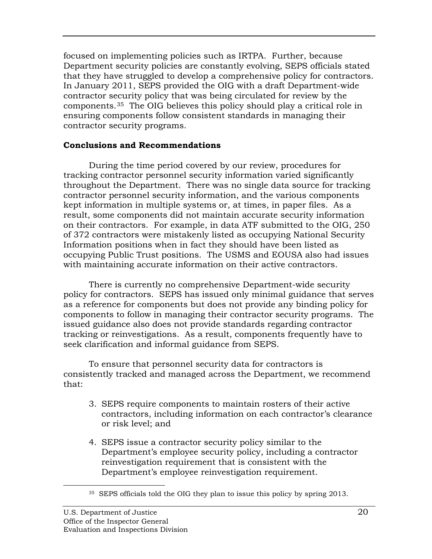focused on implementing policies such as IRTPA. Further, because Department security policies are constantly evolving, SEPS officials stated that they have struggled to develop a comprehensive policy for contractors. In January 2011, SEPS provided the OIG with a draft Department-wide contractor security policy that was being circulated for review by the components.[35](#page-24-0) The OIG believes this policy should play a critical role in ensuring components follow consistent standards in managing their contractor security programs.

### **Conclusions and Recommendations**

During the time period covered by our review, procedures for tracking contractor personnel security information varied significantly throughout the Department. There was no single data source for tracking contractor personnel security information, and the various components kept information in multiple systems or, at times, in paper files. As a result, some components did not maintain accurate security information on their contractors. For example, in data ATF submitted to the OIG, 250 of 372 contractors were mistakenly listed as occupying National Security Information positions when in fact they should have been listed as occupying Public Trust positions. The USMS and EOUSA also had issues with maintaining accurate information on their active contractors.

There is currently no comprehensive Department-wide security policy for contractors. SEPS has issued only minimal guidance that serves as a reference for components but does not provide any binding policy for components to follow in managing their contractor security programs. The issued guidance also does not provide standards regarding contractor tracking or reinvestigations. As a result, components frequently have to seek clarification and informal guidance from SEPS.

To ensure that personnel security data for contractors is consistently tracked and managed across the Department, we recommend that:

- 3. SEPS require components to maintain rosters of their active contractors, including information on each contractor's clearance or risk level; and
- 4. SEPS issue a contractor security policy similar to the Department's employee security policy, including a contractor reinvestigation requirement that is consistent with the Department's employee reinvestigation requirement.

<span id="page-24-0"></span>-

 $35$  SEPS officials told the OIG they plan to issue this policy by spring 2013.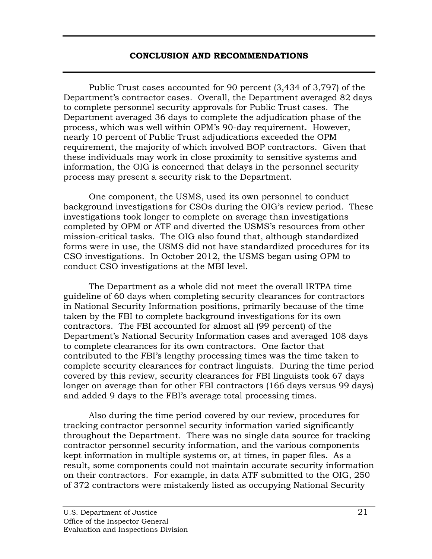#### **CONCLUSION AND RECOMMENDATIONS**

Public Trust cases accounted for 90 percent (3,434 of 3,797) of the Department's contractor cases. Overall, the Department averaged 82 days to complete personnel security approvals for Public Trust cases. The Department averaged 36 days to complete the adjudication phase of the process, which was well within OPM's 90-day requirement. However, nearly 10 percent of Public Trust adjudications exceeded the OPM requirement, the majority of which involved BOP contractors. Given that these individuals may work in close proximity to sensitive systems and information, the OIG is concerned that delays in the personnel security process may present a security risk to the Department.

One component, the USMS, used its own personnel to conduct background investigations for CSOs during the OIG's review period. These investigations took longer to complete on average than investigations completed by OPM or ATF and diverted the USMS's resources from other mission-critical tasks. The OIG also found that, although standardized forms were in use, the USMS did not have standardized procedures for its CSO investigations. In October 2012, the USMS began using OPM to conduct CSO investigations at the MBI level.

The Department as a whole did not meet the overall IRTPA time guideline of 60 days when completing security clearances for contractors in National Security Information positions, primarily because of the time taken by the FBI to complete background investigations for its own contractors. The FBI accounted for almost all (99 percent) of the Department's National Security Information cases and averaged 108 days to complete clearances for its own contractors. One factor that contributed to the FBI's lengthy processing times was the time taken to complete security clearances for contract linguists. During the time period covered by this review, security clearances for FBI linguists took 67 days longer on average than for other FBI contractors (166 days versus 99 days) and added 9 days to the FBI's average total processing times.

Also during the time period covered by our review, procedures for tracking contractor personnel security information varied significantly throughout the Department. There was no single data source for tracking contractor personnel security information, and the various components kept information in multiple systems or, at times, in paper files. As a result, some components could not maintain accurate security information on their contractors. For example, in data ATF submitted to the OIG, 250 of 372 contractors were mistakenly listed as occupying National Security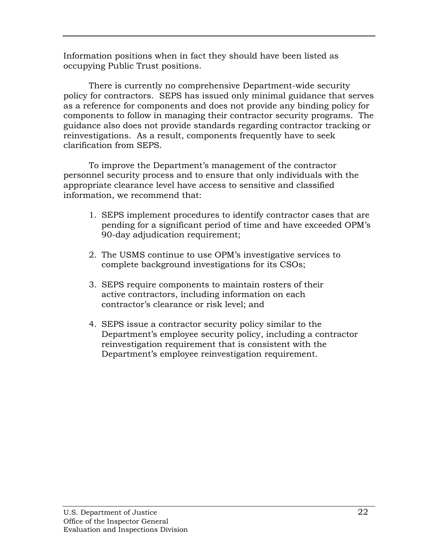Information positions when in fact they should have been listed as occupying Public Trust positions.

There is currently no comprehensive Department-wide security policy for contractors. SEPS has issued only minimal guidance that serves as a reference for components and does not provide any binding policy for components to follow in managing their contractor security programs. The guidance also does not provide standards regarding contractor tracking or reinvestigations. As a result, components frequently have to seek clarification from SEPS.

To improve the Department's management of the contractor personnel security process and to ensure that only individuals with the appropriate clearance level have access to sensitive and classified information, we recommend that:

- 1. SEPS implement procedures to identify contractor cases that are pending for a significant period of time and have exceeded OPM's 90-day adjudication requirement;
- 2. The USMS continue to use OPM's investigative services to complete background investigations for its CSOs;
- 3. SEPS require components to maintain rosters of their active contractors, including information on each contractor's clearance or risk level; and
- 4. SEPS issue a contractor security policy similar to the Department's employee security policy, including a contractor reinvestigation requirement that is consistent with the Department's employee reinvestigation requirement.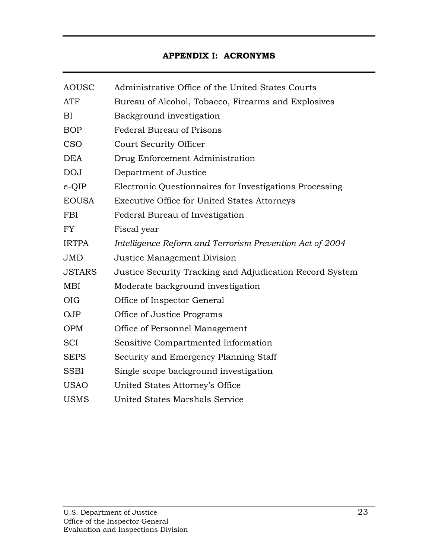# **APPENDIX I: ACRONYMS**

| <b>AOUSC</b>  | Administrative Office of the United States Courts        |
|---------------|----------------------------------------------------------|
| <b>ATF</b>    | Bureau of Alcohol, Tobacco, Firearms and Explosives      |
| BI            | Background investigation                                 |
| <b>BOP</b>    | <b>Federal Bureau of Prisons</b>                         |
| <b>CSO</b>    | <b>Court Security Officer</b>                            |
| <b>DEA</b>    | Drug Enforcement Administration                          |
| <b>DOJ</b>    | Department of Justice                                    |
| $e$ -QIP      | Electronic Questionnaires for Investigations Processing  |
| <b>EOUSA</b>  | <b>Executive Office for United States Attorneys</b>      |
| <b>FBI</b>    | Federal Bureau of Investigation                          |
| <b>FY</b>     | Fiscal year                                              |
| <b>IRTPA</b>  | Intelligence Reform and Terrorism Prevention Act of 2004 |
| <b>JMD</b>    | Justice Management Division                              |
| <b>JSTARS</b> | Justice Security Tracking and Adjudication Record System |
| MBI           | Moderate background investigation                        |
| <b>OIG</b>    | Office of Inspector General                              |
| <b>OJP</b>    | Office of Justice Programs                               |
| <b>OPM</b>    | Office of Personnel Management                           |
| <b>SCI</b>    | Sensitive Compartmented Information                      |
| <b>SEPS</b>   | Security and Emergency Planning Staff                    |
| <b>SSBI</b>   | Single scope background investigation                    |
| <b>USAO</b>   | United States Attorney's Office                          |
| <b>USMS</b>   | United States Marshals Service                           |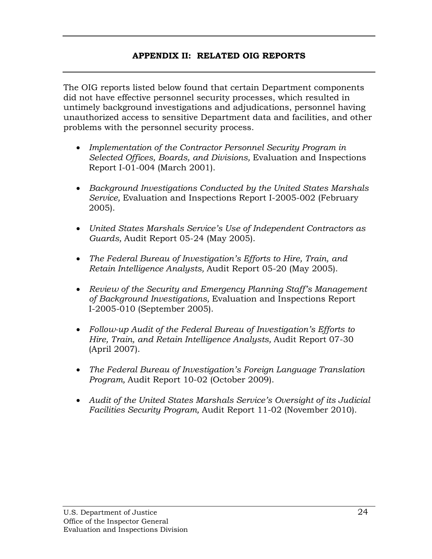### **APPENDIX II: RELATED OIG REPORTS**

The OIG reports listed below found that certain Department components did not have effective personnel security processes, which resulted in untimely background investigations and adjudications, personnel having unauthorized access to sensitive Department data and facilities, and other problems with the personnel security process.

- •*Implementation of the Contractor Personnel Security Program in Selected Offices, Boards, and Divisions,* Evaluation and Inspections Report I-01-004 (March 2001).
- •*Background Investigations Conducted by the United States Marshals Service,* Evaluation and Inspections Report I-2005-002 (February 2005).
- •*United States Marshals Service's Use of Independent Contractors as Guards,* Audit Report 05-24 (May 2005).
- •*The Federal Bureau of Investigation's Efforts to Hire, Train, and Retain Intelligence Analysts,* Audit Report 05-20 (May 2005).
- •*Review of the Security and Emergency Planning Staff's Management of Background Investigations,* Evaluation and Inspections Report I-2005-010 (September 2005).
- •*Follow-up Audit of the Federal Bureau of Investigation's Efforts to Hire, Train, and Retain Intelligence Analysts,* Audit Report 07-30 (April 2007).
- •*The Federal Bureau of Investigation's Foreign Language Translation Program,* Audit Report 10-02 (October 2009).
- •*Audit of the United States Marshals Service's Oversight of its Judicial Facilities Security Program,* Audit Report 11-02 (November 2010).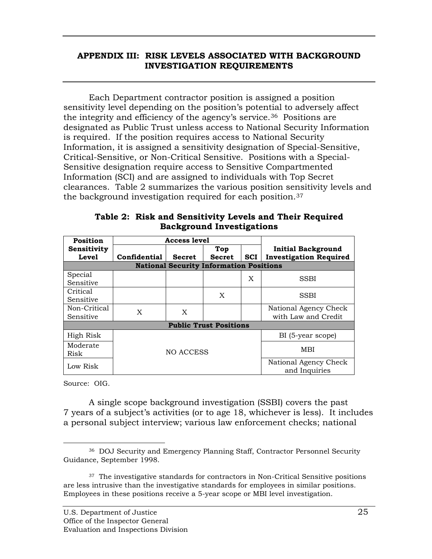### **INVESTIGATION REQUIREMENTSAPPENDIX III: RISK LEVELS ASSOCIATED WITH BACKGROUND**

Each Department contractor position is assigned a position sensitivity level depending on the position's potential to adversely affect the integrity and efficiency of the agency's service.[36](#page-29-0) Positions are designated as Public Trust unless access to National Security Information is required. If the position requires access to National Security Information, it is assigned a sensitivity designation of Special-Sensitive, Critical-Sensitive, or Non-Critical Sensitive. Positions with a Special-Sensitive designation require access to Sensitive Compartmented Information (SCI) and are assigned to individuals with Top Secret clearances. Table 2 summarizes the various position sensitivity levels and the background investigation required for each position.[37](#page-29-1)

| Position     |              | <b>Access level</b> |                                                |            |                               |
|--------------|--------------|---------------------|------------------------------------------------|------------|-------------------------------|
| Sensitivity  |              |                     | Top                                            |            | <b>Initial Background</b>     |
| <b>Level</b> | Confidential | <b>Secret</b>       | <b>Secret</b>                                  | <b>SCI</b> | <b>Investigation Required</b> |
|              |              |                     | <b>National Security Information Positions</b> |            |                               |
| Special      |              |                     |                                                | X          | <b>SSBI</b>                   |
| Sensitive    |              |                     |                                                |            |                               |
| Critical     |              |                     | X                                              |            | <b>SSBI</b>                   |
| Sensitive    |              |                     |                                                |            |                               |
| Non-Critical | X            | X                   |                                                |            | National Agency Check         |
| Sensitive    |              |                     |                                                |            | with Law and Credit           |
|              |              |                     | <b>Public Trust Positions</b>                  |            |                               |
| High Risk    |              |                     |                                                |            | BI (5-year scope)             |
| Moderate     |              |                     |                                                |            |                               |
| Risk         |              | NO ACCESS           |                                                |            | MBI                           |
| Low Risk     |              |                     |                                                |            | National Agency Check         |
|              |              |                     |                                                |            | and Inquiries                 |

**Table 2: Risk and Sensitivity Levels and Their Required Background Investigations** 

Source: OIG.

A single scope background investigation (SSBI) covers the past 7 years of a subject's activities (or to age 18, whichever is less). It includes a personal subject interview; various law enforcement checks; national

<span id="page-29-0"></span> $\overline{a}$  36 DOJ Security and Emergency Planning Staff, Contractor Personnel Security Guidance, September 1998.

<span id="page-29-1"></span> $37$  The investigative standards for contractors in Non-Critical Sensitive positions are less intrusive than the investigative standards for employees in similar positions. Employees in these positions receive a 5-year scope or MBI level investigation.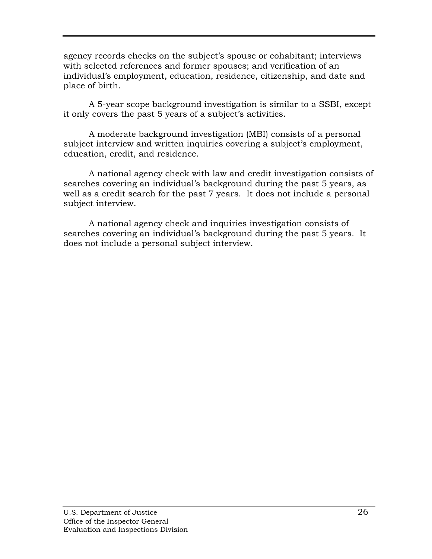agency records checks on the subject's spouse or cohabitant; interviews with selected references and former spouses; and verification of an individual's employment, education, residence, citizenship, and date and place of birth.

A 5-year scope background investigation is similar to a SSBI, except it only covers the past 5 years of a subject's activities.

A moderate background investigation (MBI) consists of a personal subject interview and written inquiries covering a subject's employment, education, credit, and residence.

A national agency check with law and credit investigation consists of searches covering an individual's background during the past 5 years, as well as a credit search for the past 7 years. It does not include a personal subject interview.

A national agency check and inquiries investigation consists of searches covering an individual's background during the past 5 years. It does not include a personal subject interview.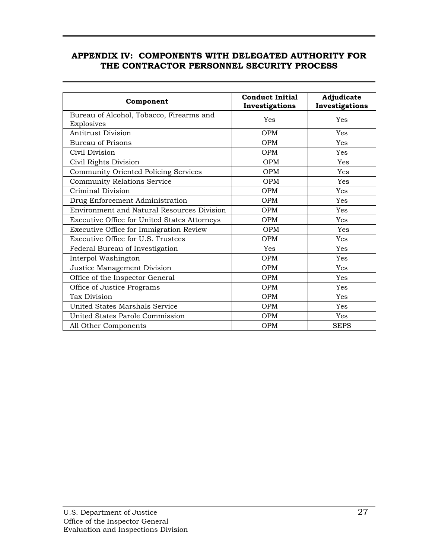### **APPENDIX IV: COMPONENTS WITH DELEGATED AUTHORITY FOR THE CONTRACTOR PERSONNEL SECURITY PROCESS**

| Component                                              | <b>Conduct Initial</b><br>Investigations | Adjudicate<br>Investigations |
|--------------------------------------------------------|------------------------------------------|------------------------------|
| Bureau of Alcohol, Tobacco, Firearms and<br>Explosives | Yes                                      | Yes                          |
| <b>Antitrust Division</b>                              | <b>OPM</b>                               | Yes                          |
| <b>Bureau of Prisons</b>                               | <b>OPM</b>                               | Yes                          |
| Civil Division                                         | <b>OPM</b>                               | Yes                          |
| Civil Rights Division                                  | <b>OPM</b>                               | Yes                          |
| Community Oriented Policing Services                   | <b>OPM</b>                               | Yes                          |
| <b>Community Relations Service</b>                     | <b>OPM</b>                               | Yes                          |
| Criminal Division                                      | <b>OPM</b>                               | Yes                          |
| Drug Enforcement Administration                        | <b>OPM</b>                               | Yes                          |
| <b>Environment and Natural Resources Division</b>      | <b>OPM</b>                               | Yes                          |
| <b>Executive Office for United States Attorneys</b>    | OPM                                      | Yes                          |
| Executive Office for Immigration Review                | <b>OPM</b>                               | Yes                          |
| Executive Office for U.S. Trustees                     | <b>OPM</b>                               | Yes                          |
| Federal Bureau of Investigation                        | Yes                                      | Yes                          |
| Interpol Washington                                    | <b>OPM</b>                               | Yes                          |
| Justice Management Division                            | <b>OPM</b>                               | Yes                          |
| Office of the Inspector General                        | <b>OPM</b>                               | Yes                          |
| Office of Justice Programs                             | <b>OPM</b>                               | Yes                          |
| Tax Division                                           | <b>OPM</b>                               | Yes                          |
| United States Marshals Service                         | <b>OPM</b>                               | Yes                          |
| United States Parole Commission                        | <b>OPM</b>                               | <b>Yes</b>                   |
| All Other Components                                   | OPM                                      | <b>SEPS</b>                  |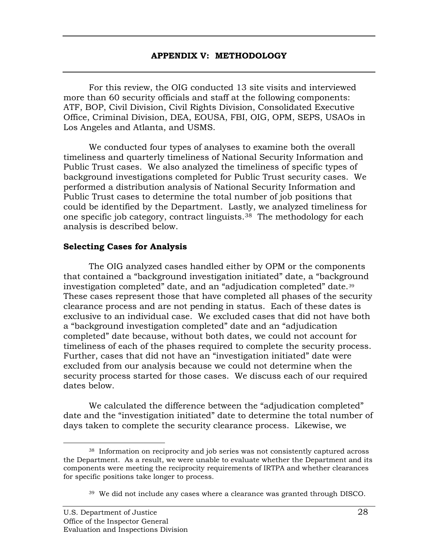For this review, the OIG conducted 13 site visits and interviewed more than 60 security officials and staff at the following components: ATF, BOP, Civil Division, Civil Rights Division, Consolidated Executive Office, Criminal Division, DEA, EOUSA, FBI, OIG, OPM, SEPS, USAOs in Los Angeles and Atlanta, and USMS.

We conducted four types of analyses to examine both the overall timeliness and quarterly timeliness of National Security Information and Public Trust cases. We also analyzed the timeliness of specific types of background investigations completed for Public Trust security cases. We performed a distribution analysis of National Security Information and Public Trust cases to determine the total number of job positions that could be identified by the Department. Lastly, we analyzed timeliness for one specific job category, contract linguists.[38](#page-32-0) The methodology for each analysis is described below.

#### **Selecting Cases for Analysis**

 investigation completed" date, and an "adjudication completed" date.[39](#page-32-1) The OIG analyzed cases handled either by OPM or the components that contained a "background investigation initiated" date, a "background These cases represent those that have completed all phases of the security clearance process and are not pending in status. Each of these dates is exclusive to an individual case. We excluded cases that did not have both a "background investigation completed" date and an "adjudication completed" date because, without both dates, we could not account for timeliness of each of the phases required to complete the security process. Further, cases that did not have an "investigation initiated" date were excluded from our analysis because we could not determine when the security process started for those cases. We discuss each of our required dates below.

We calculated the difference between the "adjudication completed" date and the "investigation initiated" date to determine the total number of days taken to complete the security clearance process. Likewise, we

 $\overline{a}$ 

<span id="page-32-1"></span><span id="page-32-0"></span> $38$  Information on reciprocity and job series was not consistently captured across the Department. As a result, we were unable to evaluate whether the Department and its components were meeting the reciprocity requirements of IRTPA and whether clearances for specific positions take longer to process.

 $39\,$  We did not include any cases where a clearance was granted through DISCO.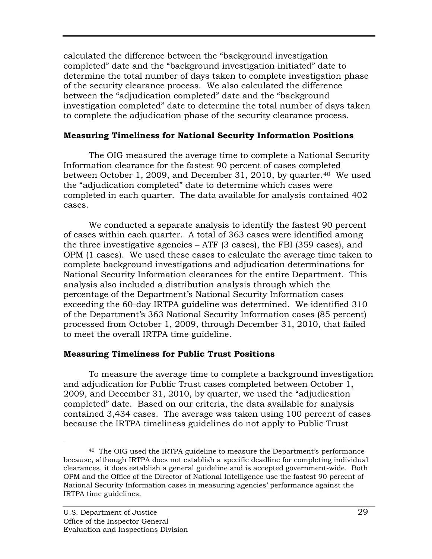calculated the difference between the "background investigation completed" date and the "background investigation initiated" date to determine the total number of days taken to complete investigation phase of the security clearance process. We also calculated the difference between the "adjudication completed" date and the "background investigation completed" date to determine the total number of days taken to complete the adjudication phase of the security clearance process.

### **Measuring Timeliness for National Security Information Positions**

The OIG measured the average time to complete a National Security Information clearance for the fastest 90 percent of cases completed between October 1, 2009, and December 31, 2010, by quarter.[40](#page-33-0) We used the "adjudication completed" date to determine which cases were completed in each quarter. The data available for analysis contained 402 cases.

We conducted a separate analysis to identify the fastest 90 percent of cases within each quarter. A total of 363 cases were identified among the three investigative agencies – ATF (3 cases), the FBI (359 cases), and OPM (1 cases). We used these cases to calculate the average time taken to complete background investigations and adjudication determinations for National Security Information clearances for the entire Department. This analysis also included a distribution analysis through which the percentage of the Department's National Security Information cases exceeding the 60-day IRTPA guideline was determined. We identified 310 of the Department's 363 National Security Information cases (85 percent) processed from October 1, 2009, through December 31, 2010, that failed to meet the overall IRTPA time guideline.

### **Measuring Timeliness for Public Trust Positions**

To measure the average time to complete a background investigation and adjudication for Public Trust cases completed between October 1, 2009, and December 31, 2010, by quarter, we used the "adjudication completed" date. Based on our criteria, the data available for analysis contained 3,434 cases. The average was taken using 100 percent of cases because the IRTPA timeliness guidelines do not apply to Public Trust

<span id="page-33-0"></span><sup>-</sup> $^{40}$  The OIG used the IRTPA guideline to measure the Department's performance because, although IRTPA does not establish a specific deadline for completing individual clearances, it does establish a general guideline and is accepted government-wide. Both OPM and the Office of the Director of National Intelligence use the fastest 90 percent of National Security Information cases in measuring agencies' performance against the IRTPA time guidelines.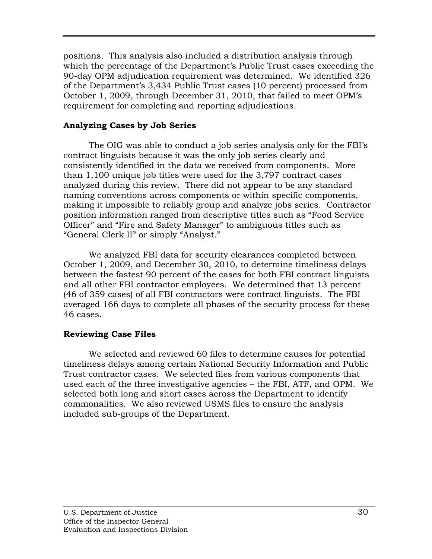positions. This analysis also included a distribution analysis through which the percentage of the Department's Public Trust cases exceeding the 90-day OPM adjudication requirement was determined. We identified 326 of the Department's 3,434 Public Trust cases (10 percent) processed from October 1, 2009, through December 31, 2010, that failed to meet OPM's requirement for completing and reporting adjudications.

### **Analyzing Cases by Job Series**

The OIG was able to conduct a job series analysis only for the FBI's contract linguists because it was the only job series clearly and consistently identified in the data we received from components. More than 1,100 unique job titles were used for the 3,797 contract cases analyzed during this review. There did not appear to be any standard naming conventions across components or within specific components, making it impossible to reliably group and analyze jobs series. Contractor position information ranged from descriptive titles such as "Food Service Officer" and "Fire and Safety Manager" to ambiguous titles such as "General Clerk II" or simply "Analyst."

We analyzed FBI data for security clearances completed between October 1, 2009, and December 30, 2010, to determine timeliness delays between the fastest 90 percent of the cases for both FBI contract linguists and all other FBI contractor employees. We determined that 13 percent (46 of 359 cases) of all FBI contractors were contract linguists. The FBI averaged 166 days to complete all phases of the security process for these 46 cases.

### **Reviewing Case Files**

We selected and reviewed 60 files to determine causes for potential timeliness delays among certain National Security Information and Public Trust contractor cases. We selected files from various components that used each of the three investigative agencies – the FBI, ATF, and OPM. We selected both long and short cases across the Department to identify commonalities. We also reviewed USMS files to ensure the analysis included sub-groups of the Department.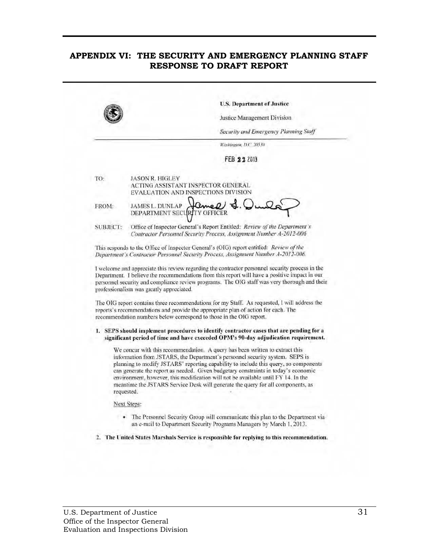### **APPENDIX VI: THE SECURITY AND EMERGENCY PLANNING STAFF RESPONSE TO DRAFT REPORT**

|          | <b>U.S. Department of Justice</b><br>Justice Management Division                                                                                                                                                                                                                                                                                                                                                                                                                                                                 |
|----------|----------------------------------------------------------------------------------------------------------------------------------------------------------------------------------------------------------------------------------------------------------------------------------------------------------------------------------------------------------------------------------------------------------------------------------------------------------------------------------------------------------------------------------|
|          | Security and Emergency Planning Staff                                                                                                                                                                                                                                                                                                                                                                                                                                                                                            |
|          | Washington, D.C. 20530.                                                                                                                                                                                                                                                                                                                                                                                                                                                                                                          |
|          | FEB 22 2013                                                                                                                                                                                                                                                                                                                                                                                                                                                                                                                      |
| TO:      | <b>JASON R. HIGLEY</b><br>ACTING ASSISTANT INSPECTOR GENERAL<br>EVALUATION AND INSPECTIONS DIVISION                                                                                                                                                                                                                                                                                                                                                                                                                              |
| FROM:    | Lame<br>JAMES L. DUNLAP<br>DEPARTMENT SECURITY OFFICER                                                                                                                                                                                                                                                                                                                                                                                                                                                                           |
| SUBJECT: | Office of Inspector General's Report Entitled: Review of the Department's<br>Contractor Personnel Security Process, Assignment Number A-2012-006                                                                                                                                                                                                                                                                                                                                                                                 |
|          | This responds to the Office of Inspector General's (OIG) report entitled: Review of the<br>Department's Contractor Personnel Security Process, Assignment Number A-2012-006.                                                                                                                                                                                                                                                                                                                                                     |
|          | I welcome and appreciate this review regarding the contractor personnel security process in the<br>Department. I believe the recommendations from this report will have a positive impact in our<br>personnel security and compliance review programs. The OIG staff was very thorough and their<br>professionalism was greatly appreciated.                                                                                                                                                                                     |
|          | The OIG report contains three recommendations for my Staff. As requested, I will address the<br>reports's recommendations and provide the appropriate plan of action for each. The<br>recommendation numbers below correspond to those in the OIG report.                                                                                                                                                                                                                                                                        |
|          | 1. SEPS should implement procedures to identify contractor cases that are pending for a<br>significant period of time and have exceeded OPM's 90-day adjudication requirement.                                                                                                                                                                                                                                                                                                                                                   |
|          | We concur with this recommendation. A query has been written to extract this<br>information from JSTARS, the Department's personnel security system. SEPS is<br>planning to modify JSTARS' reporting capability to include this query, so components<br>can generate the report as needed. Given budgetary constraints in today's economic<br>environment, however, this modification will not be available until FY 14. In the<br>meantime the JSTARS Service Desk will generate the query for all components, as<br>requested. |
|          | Next Steps:                                                                                                                                                                                                                                                                                                                                                                                                                                                                                                                      |
|          | The Personnel Security Group will communicate this plan to the Department via                                                                                                                                                                                                                                                                                                                                                                                                                                                    |
|          | an e-mail to Department Security Programs Managers by March 1, 2013.                                                                                                                                                                                                                                                                                                                                                                                                                                                             |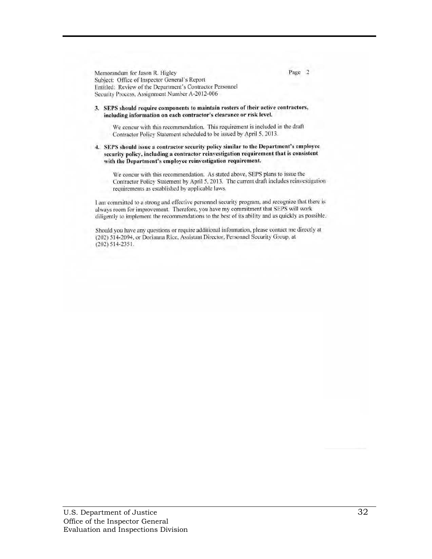Memorandum for Jason R. Higley Page 2 Subject: Office of Inspector General's Report Entitled: Review of the Department's Contractor Personnel Security Process, Assignment Number A-2012-006

#### 3. SEPS should require components to maintain rosters of their active contractors, including information on each contractor's clearance or risk level.

We concur with this recommendation. This requirement is included in the draft Contractor Policy Statement scheduled to be issued by April 5, 2013.

4. SEPS should issue a contractor security policy similar to the Department's employee security policy, including a contractor reinvestigation requirement that is consistent with the Department's employee reinvestigation requirement.

We concur with this recommendation. As stated above, SEPS plans to issue the Contractor Policy Statement by April 5, 2013. The current draft includes reinvestigation requirements as established by applicable laws.

I am committed to a strong and effective personnel security program, and recognize that there is always room for improvement. Therefore, you have my commitment that SEPS will work diligently to implement the recommendations to the best of its ability and as quickly as possible.

Should you have any questions or require additional information, please contact me directly at (202) 514-2094. or Dorianna Rice. Assistant Director. Personnel Security Group, at (202) 514-2351 .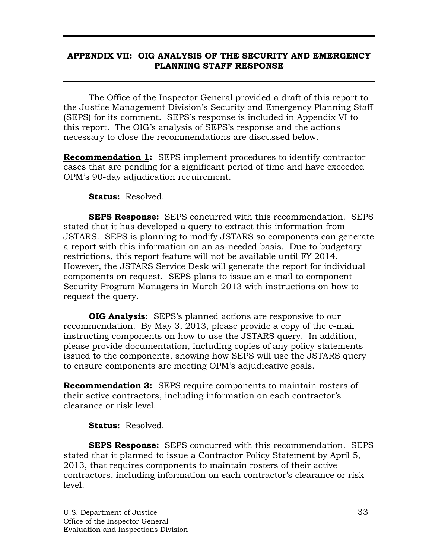### **APPENDIX VII: OIG ANALYSIS OF THE SECURITY AND EMERGENCY PLANNING STAFF RESPONSE**

The Office of the Inspector General provided a draft of this report to the Justice Management Division's Security and Emergency Planning Staff (SEPS) for its comment. SEPS's response is included in Appendix VI to this report. The OIG's analysis of SEPS's response and the actions necessary to close the recommendations are discussed below.

**Recommendation 1:** SEPS implement procedures to identify contractor cases that are pending for a significant period of time and have exceeded OPM's 90-day adjudication requirement.

**Status:** Resolved.

**SEPS Response:** SEPS concurred with this recommendation. SEPS stated that it has developed a query to extract this information from JSTARS. SEPS is planning to modify JSTARS so components can generate a report with this information on an as-needed basis. Due to budgetary restrictions, this report feature will not be available until FY 2014. However, the JSTARS Service Desk will generate the report for individual components on request. SEPS plans to issue an e-mail to component Security Program Managers in March 2013 with instructions on how to request the query.

**OIG Analysis:** SEPS's planned actions are responsive to our recommendation. By May 3, 2013, please provide a copy of the e-mail instructing components on how to use the JSTARS query. In addition, please provide documentation, including copies of any policy statements issued to the components, showing how SEPS will use the JSTARS query to ensure components are meeting OPM's adjudicative goals.

**Recommendation 3:** SEPS require components to maintain rosters of their active contractors, including information on each contractor's clearance or risk level.

**Status:** Resolved.

**SEPS Response:** SEPS concurred with this recommendation. SEPS stated that it planned to issue a Contractor Policy Statement by April 5, 2013, that requires components to maintain rosters of their active contractors, including information on each contractor's clearance or risk level.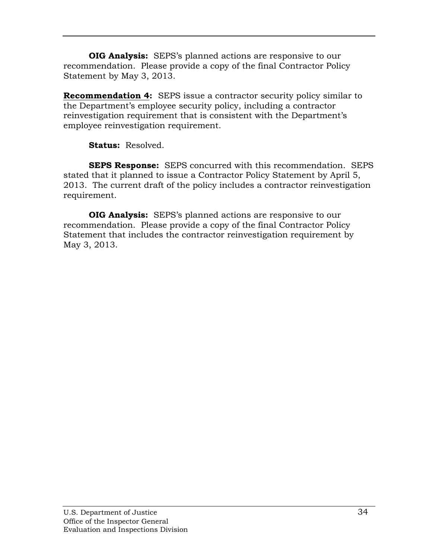**OIG Analysis:** SEPS's planned actions are responsive to our recommendation. Please provide a copy of the final Contractor Policy Statement by May 3, 2013.

**Recommendation 4:** SEPS issue a contractor security policy similar to the Department's employee security policy, including a contractor reinvestigation requirement that is consistent with the Department's employee reinvestigation requirement.

**Status:** Resolved.

**SEPS Response:** SEPS concurred with this recommendation. SEPS stated that it planned to issue a Contractor Policy Statement by April 5, 2013. The current draft of the policy includes a contractor reinvestigation requirement.

**OIG Analysis:** SEPS's planned actions are responsive to our recommendation. Please provide a copy of the final Contractor Policy Statement that includes the contractor reinvestigation requirement by May 3, 2013.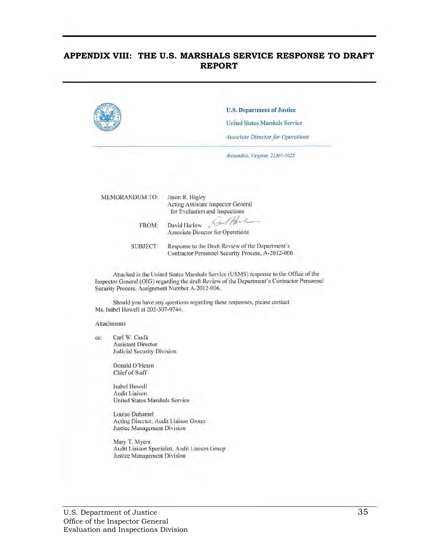#### **APPENDIX VIII: THE U.S. MARSHALS SERVICE RESPONSE TO DRAFT REPORT**

|                         | U.S. Department of Justice                                                                                                                          |
|-------------------------|-----------------------------------------------------------------------------------------------------------------------------------------------------|
|                         | United States Marshals Service                                                                                                                      |
|                         | Associate Director for Operations                                                                                                                   |
|                         | Alexandria, Virginia 22301-1025                                                                                                                     |
|                         |                                                                                                                                                     |
| MEMORANDUM TO:<br>FROM: | Jason R. Higley<br>Acting Assistant Inspector General<br>for Evaluation and Inspections<br>the<br>David Harlow<br>Associate Director for Operations |

Should you have any questions regarding these responses, please contact Ms. Isabel Howell at 202-307-9744.

#### Attachments

cc: Carl W. Caulk Assistant Director Judicial Security Division

> Donald O'Hearn Chief of Staff

Isabel Howell Audit Liaison United States Marshals Service

Security Process. Assignment Number A-2012-006.

Louise Duhamel Acting Director. Audit Liaison Group Justice Management Division

Mary T. Myers Audit Liaison Specialist. Audit Liaison Group Justice Management Division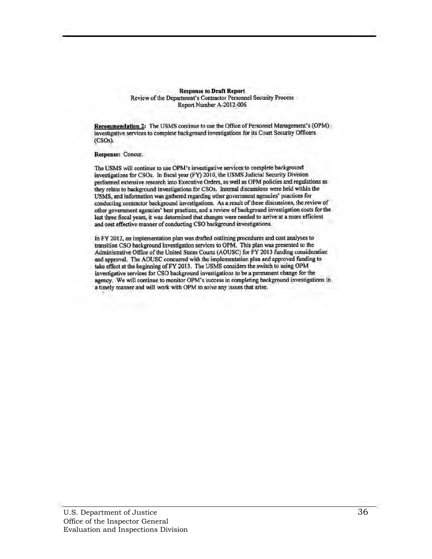**Response to Draft Report** Review of the Department's Contractor Personnel Security Process Report Number A·2012-006

Recommendation 2: The USMS continue to use the Office of Personnel Management's (OPM) investigative services to complete background investigations for its Court Security Officers (CSo,).

Response: Concur,

The USMS will continue to use OPM 's investigative services to complete background investigations for CSOs. In fiscal year (FY) 2010, the USMS Judicial Security Division performed extensive research into Executive Orders, as well as OPM policies and regulations as they relate to background investigations for CSOs. Internal discussions were held within the USMS, and information was gathered regarding other government agencies' practices for conducting contractor background investigations. As a result of these discussions, the review of other government agencies' best practices, and a review of background investigation costs for the last three fiscal years, it was determined that changes were needed to arrive at a more efficient and cost effective manner of conducting CSO background investigations.

In FY 2012, an implementation plan was drafted outlining procedures and cost analyses to transition CSO background investigation services to OPM. This plan was presented to the Administrative Office of the United States Courts (AOUSC) for FY 2013 funding consideration and approval. The AOUSC concurred with the implementation plan and approved funding to take effect at the beginning of FY 2013. The USMS considers the switch to using OPM investigative services for CSO background investigations to be a permanent change for the agency. We will continue to monitor OPM's success in completing background investigations in a timely manner and will work with OPM to solve any issues that arise.